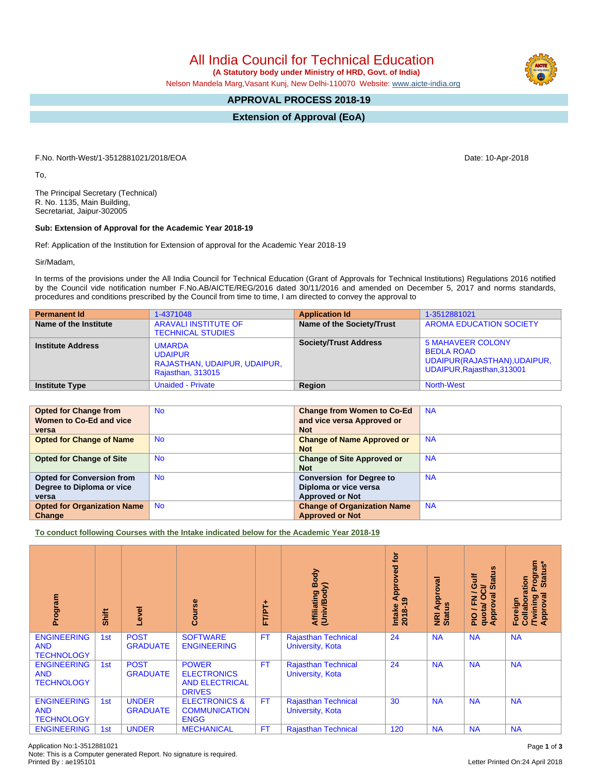All India Council for Technical Education

 **(A Statutory body under Ministry of HRD, Govt. of India)**

Nelson Mandela Marg,Vasant Kunj, New Delhi-110070 Website: [www.aicte-india.org](http://www.aicte-india.org)

## **APPROVAL PROCESS 2018-19**

**Extension of Approval (EoA)**

F.No. North-West/1-3512881021/2018/EOA Date: 10-Apr-2018

To,

The Principal Secretary (Technical) R. No. 1135, Main Building, Secretariat, Jaipur-302005

## **Sub: Extension of Approval for the Academic Year 2018-19**

Ref: Application of the Institution for Extension of approval for the Academic Year 2018-19

Sir/Madam,

In terms of the provisions under the All India Council for Technical Education (Grant of Approvals for Technical Institutions) Regulations 2016 notified by the Council vide notification number F.No.AB/AICTE/REG/2016 dated 30/11/2016 and amended on December 5, 2017 and norms standards, procedures and conditions prescribed by the Council from time to time, I am directed to convey the approval to

| <b>Permanent Id</b>      | 1-4371048                                                                            | <b>Application Id</b>        | 1-3512881021                                                                                                |
|--------------------------|--------------------------------------------------------------------------------------|------------------------------|-------------------------------------------------------------------------------------------------------------|
| Name of the Institute    | <b>ARAVALI INSTITUTE OF</b><br><b>TECHNICAL STUDIES</b>                              | Name of the Society/Trust    | <b>AROMA EDUCATION SOCIETY</b>                                                                              |
| <b>Institute Address</b> | <b>UMARDA</b><br><b>UDAIPUR</b><br>RAJASTHAN, UDAIPUR, UDAIPUR,<br>Rajasthan, 313015 | <b>Society/Trust Address</b> | <b>5 MAHAVEER COLONY</b><br><b>BEDLA ROAD</b><br>UDAIPUR(RAJASTHAN), UDAIPUR,<br>UDAIPUR, Rajasthan, 313001 |
| <b>Institute Type</b>    | <b>Unaided - Private</b>                                                             | Region                       | <b>North-West</b>                                                                                           |

| <b>Opted for Change from</b>       | <b>No</b> | <b>Change from Women to Co-Ed</b>  | <b>NA</b> |
|------------------------------------|-----------|------------------------------------|-----------|
| Women to Co-Ed and vice            |           | and vice versa Approved or         |           |
| versa                              |           | <b>Not</b>                         |           |
| <b>Opted for Change of Name</b>    | <b>No</b> | <b>Change of Name Approved or</b>  | <b>NA</b> |
|                                    |           | <b>Not</b>                         |           |
| <b>Opted for Change of Site</b>    | <b>No</b> | <b>Change of Site Approved or</b>  | <b>NA</b> |
|                                    |           | <b>Not</b>                         |           |
| <b>Opted for Conversion from</b>   | <b>No</b> | <b>Conversion for Degree to</b>    | <b>NA</b> |
| Degree to Diploma or vice          |           | Diploma or vice versa              |           |
| versa                              |           | <b>Approved or Not</b>             |           |
| <b>Opted for Organization Name</b> | <b>No</b> | <b>Change of Organization Name</b> | <b>NA</b> |
| Change                             |           | <b>Approved or Not</b>             |           |

**To conduct following Courses with the Intake indicated below for the Academic Year 2018-19**

| Program                                               | Shift | Level                           | urse<br>Ő                                                                    | FTPT+     | Body<br>Affiliating Book<br>(Univ/Body)               | tor<br>Approved<br>ၜ<br>$2018 - 19$<br>Intake | Approval<br><u>us</u><br>NRI<br>Statu | <b>Status</b><br>Gulf<br>ಕ<br>∽<br>0<br>g<br>준<br>Appro<br>quotal<br>$\frac{1}{2}$ | Program<br>  Status*<br>Collaboration<br>ह<br><b>Twining</b><br>Approval<br>Foreign |
|-------------------------------------------------------|-------|---------------------------------|------------------------------------------------------------------------------|-----------|-------------------------------------------------------|-----------------------------------------------|---------------------------------------|------------------------------------------------------------------------------------|-------------------------------------------------------------------------------------|
| <b>ENGINEERING</b><br><b>AND</b><br><b>TECHNOLOGY</b> | 1st   | <b>POST</b><br><b>GRADUATE</b>  | <b>SOFTWARE</b><br><b>ENGINEERING</b>                                        | <b>FT</b> | <b>Rajasthan Technical</b><br>University, Kota        | 24                                            | <b>NA</b>                             | <b>NA</b>                                                                          | <b>NA</b>                                                                           |
| <b>ENGINEERING</b><br><b>AND</b><br><b>TECHNOLOGY</b> | 1st   | <b>POST</b><br><b>GRADUATE</b>  | <b>POWER</b><br><b>ELECTRONICS</b><br><b>AND ELECTRICAL</b><br><b>DRIVES</b> | <b>FT</b> | <b>Rajasthan Technical</b><br>University, Kota        | 24                                            | <b>NA</b>                             | <b>NA</b>                                                                          | <b>NA</b>                                                                           |
| <b>ENGINEERING</b><br><b>AND</b><br><b>TECHNOLOGY</b> | 1st   | <b>UNDER</b><br><b>GRADUATE</b> | <b>ELECTRONICS &amp;</b><br><b>COMMUNICATION</b><br><b>ENGG</b>              | FT.       | <b>Rajasthan Technical</b><br><b>University, Kota</b> | 30                                            | <b>NA</b>                             | <b>NA</b>                                                                          | <b>NA</b>                                                                           |
| <b>ENGINEERING</b>                                    | 1st   | <b>UNDER</b>                    | <b>MECHANICAL</b>                                                            | <b>FT</b> | <b>Rajasthan Technical</b>                            | 120                                           | <b>NA</b>                             | <b>NA</b>                                                                          | <b>NA</b>                                                                           |

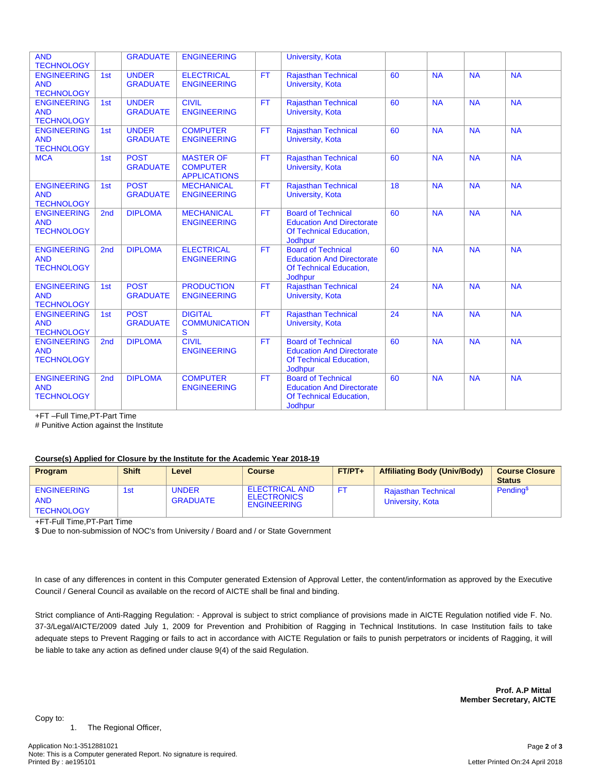| <b>AND</b><br><b>TECHNOLOGY</b>                       |                 | <b>GRADUATE</b>                 | <b>ENGINEERING</b>                                         |           | University, Kota                                                                                           |    |           |           |           |
|-------------------------------------------------------|-----------------|---------------------------------|------------------------------------------------------------|-----------|------------------------------------------------------------------------------------------------------------|----|-----------|-----------|-----------|
| <b>ENGINEERING</b><br><b>AND</b><br><b>TECHNOLOGY</b> | 1st             | <b>UNDER</b><br><b>GRADUATE</b> | <b>ELECTRICAL</b><br><b>ENGINEERING</b>                    | <b>FT</b> | <b>Rajasthan Technical</b><br>University, Kota                                                             | 60 | <b>NA</b> | <b>NA</b> | <b>NA</b> |
| <b>ENGINEERING</b><br><b>AND</b><br><b>TECHNOLOGY</b> | 1st             | <b>UNDER</b><br><b>GRADUATE</b> | <b>CIVIL</b><br><b>ENGINEERING</b>                         | <b>FT</b> | <b>Rajasthan Technical</b><br>University, Kota                                                             | 60 | <b>NA</b> | <b>NA</b> | <b>NA</b> |
| <b>ENGINEERING</b><br><b>AND</b><br><b>TECHNOLOGY</b> | 1st             | <b>UNDER</b><br><b>GRADUATE</b> | <b>COMPUTER</b><br><b>ENGINEERING</b>                      | FT.       | <b>Rajasthan Technical</b><br>University, Kota                                                             | 60 | <b>NA</b> | <b>NA</b> | <b>NA</b> |
| <b>MCA</b>                                            | 1st             | <b>POST</b><br><b>GRADUATE</b>  | <b>MASTER OF</b><br><b>COMPUTER</b><br><b>APPLICATIONS</b> | <b>FT</b> | <b>Rajasthan Technical</b><br>University, Kota                                                             | 60 | <b>NA</b> | <b>NA</b> | <b>NA</b> |
| <b>ENGINEERING</b><br><b>AND</b><br><b>TECHNOLOGY</b> | 1st             | <b>POST</b><br><b>GRADUATE</b>  | <b>MECHANICAL</b><br><b>ENGINEERING</b>                    | <b>FT</b> | <b>Rajasthan Technical</b><br><b>University, Kota</b>                                                      | 18 | <b>NA</b> | <b>NA</b> | <b>NA</b> |
| <b>ENGINEERING</b><br><b>AND</b><br><b>TECHNOLOGY</b> | 2 <sub>nd</sub> | <b>DIPLOMA</b>                  | <b>MECHANICAL</b><br><b>ENGINEERING</b>                    | <b>FT</b> | <b>Board of Technical</b><br><b>Education And Directorate</b><br>Of Technical Education,<br>Jodhpur        | 60 | <b>NA</b> | <b>NA</b> | <b>NA</b> |
| <b>ENGINEERING</b><br><b>AND</b><br><b>TECHNOLOGY</b> | 2 <sub>nd</sub> | <b>DIPLOMA</b>                  | <b>ELECTRICAL</b><br><b>ENGINEERING</b>                    | FT.       | <b>Board of Technical</b><br><b>Education And Directorate</b><br>Of Technical Education,<br><b>Jodhpur</b> | 60 | <b>NA</b> | <b>NA</b> | <b>NA</b> |
| <b>ENGINEERING</b><br><b>AND</b><br><b>TECHNOLOGY</b> | 1st             | <b>POST</b><br><b>GRADUATE</b>  | <b>PRODUCTION</b><br><b>ENGINEERING</b>                    | <b>FT</b> | Rajasthan Technical<br><b>University, Kota</b>                                                             | 24 | <b>NA</b> | <b>NA</b> | <b>NA</b> |
| <b>ENGINEERING</b><br><b>AND</b><br><b>TECHNOLOGY</b> | 1st             | <b>POST</b><br><b>GRADUATE</b>  | <b>DIGITAL</b><br><b>COMMUNICATION</b><br>S                | <b>FT</b> | <b>Rajasthan Technical</b><br>University, Kota                                                             | 24 | <b>NA</b> | <b>NA</b> | <b>NA</b> |
| <b>ENGINEERING</b><br><b>AND</b><br><b>TECHNOLOGY</b> | 2 <sub>nd</sub> | <b>DIPLOMA</b>                  | <b>CIVIL</b><br><b>ENGINEERING</b>                         | FT.       | <b>Board of Technical</b><br><b>Education And Directorate</b><br>Of Technical Education,<br><b>Jodhpur</b> | 60 | <b>NA</b> | <b>NA</b> | <b>NA</b> |
| <b>ENGINEERING</b><br><b>AND</b><br><b>TECHNOLOGY</b> | 2nd             | <b>DIPLOMA</b>                  | <b>COMPUTER</b><br><b>ENGINEERING</b>                      | FT.       | <b>Board of Technical</b><br><b>Education And Directorate</b><br>Of Technical Education,<br>Jodhpur        | 60 | <b>NA</b> | <b>NA</b> | <b>NA</b> |

+FT –Full Time,PT-Part Time

# Punitive Action against the Institute

## **Course(s) Applied for Closure by the Institute for the Academic Year 2018-19**

| Program                                               | <b>Shift</b> | Level                           | <b>Course</b>                                                     | $FT/PT+$ | <b>Affiliating Body (Univ/Body)</b>            | <b>Course Closure</b><br><b>Status</b> |
|-------------------------------------------------------|--------------|---------------------------------|-------------------------------------------------------------------|----------|------------------------------------------------|----------------------------------------|
| <b>ENGINEERING</b><br><b>AND</b><br><b>TECHNOLOGY</b> | 1st          | <b>UNDER</b><br><b>GRADUATE</b> | <b>ELECTRICAL AND</b><br><b>ELECTRONICS</b><br><b>ENGINEERING</b> |          | <b>Rajasthan Technical</b><br>University, Kota | Pending <sup>\$</sup>                  |

+FT-Full Time,PT-Part Time

\$ Due to non-submission of NOC's from University / Board and / or State Government

In case of any differences in content in this Computer generated Extension of Approval Letter, the content/information as approved by the Executive Council / General Council as available on the record of AICTE shall be final and binding.

Strict compliance of Anti-Ragging Regulation: - Approval is subject to strict compliance of provisions made in AICTE Regulation notified vide F. No. 37-3/Legal/AICTE/2009 dated July 1, 2009 for Prevention and Prohibition of Ragging in Technical Institutions. In case Institution fails to take adequate steps to Prevent Ragging or fails to act in accordance with AICTE Regulation or fails to punish perpetrators or incidents of Ragging, it will be liable to take any action as defined under clause 9(4) of the said Regulation.

> **Prof. A.P Mittal Member Secretary, AICTE**

Copy to:

1. The Regional Officer,